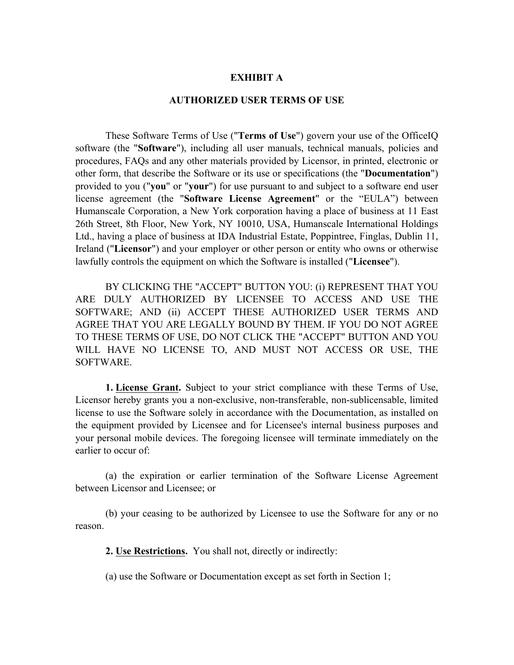## **EXHIBIT A**

## **AUTHORIZED USER TERMS OF USE**

These Software Terms of Use ("**Terms of Use**") govern your use of the OfficeIQ software (the "**Software**"), including all user manuals, technical manuals, policies and procedures, FAQs and any other materials provided by Licensor, in printed, electronic or other form, that describe the Software or its use or specifications (the "**Documentation**") provided to you ("**you**" or "**your**") for use pursuant to and subject to a software end user license agreement (the "**Software License Agreement**" or the "EULA") between Humanscale Corporation, a New York corporation having a place of business at 11 East 26th Street, 8th Floor, New York, NY 10010, USA, Humanscale International Holdings Ltd., having a place of business at IDA Industrial Estate, Poppintree, Finglas, Dublin 11, Ireland ("**Licensor**") and your employer or other person or entity who owns or otherwise lawfully controls the equipment on which the Software is installed ("**Licensee**").

BY CLICKING THE "ACCEPT" BUTTON YOU: (i) REPRESENT THAT YOU ARE DULY AUTHORIZED BY LICENSEE TO ACCESS AND USE THE SOFTWARE; AND (ii) ACCEPT THESE AUTHORIZED USER TERMS AND AGREE THAT YOU ARE LEGALLY BOUND BY THEM. IF YOU DO NOT AGREE TO THESE TERMS OF USE, DO NOT CLICK THE "ACCEPT" BUTTON AND YOU WILL HAVE NO LICENSE TO, AND MUST NOT ACCESS OR USE, THE SOFTWARE.

**1. License Grant.** Subject to your strict compliance with these Terms of Use, Licensor hereby grants you a non-exclusive, non-transferable, non-sublicensable, limited license to use the Software solely in accordance with the Documentation, as installed on the equipment provided by Licensee and for Licensee's internal business purposes and your personal mobile devices. The foregoing licensee will terminate immediately on the earlier to occur of:

(a) the expiration or earlier termination of the Software License Agreement between Licensor and Licensee; or

(b) your ceasing to be authorized by Licensee to use the Software for any or no reason.

**2. Use Restrictions.** You shall not, directly or indirectly:

(a) use the Software or Documentation except as set forth in Section 1;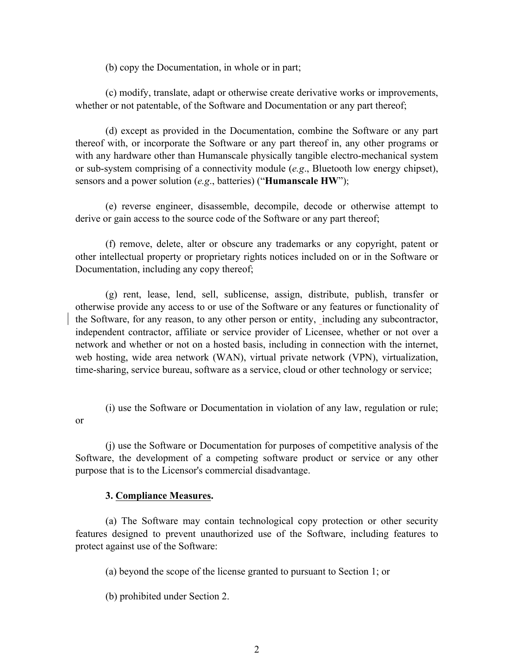(b) copy the Documentation, in whole or in part;

(c) modify, translate, adapt or otherwise create derivative works or improvements, whether or not patentable, of the Software and Documentation or any part thereof;

(d) except as provided in the Documentation, combine the Software or any part thereof with, or incorporate the Software or any part thereof in, any other programs or with any hardware other than Humanscale physically tangible electro-mechanical system or sub-system comprising of a connectivity module (*e.g*., Bluetooth low energy chipset), sensors and a power solution (*e.g*., batteries) ("**Humanscale HW**");

(e) reverse engineer, disassemble, decompile, decode or otherwise attempt to derive or gain access to the source code of the Software or any part thereof;

(f) remove, delete, alter or obscure any trademarks or any copyright, patent or other intellectual property or proprietary rights notices included on or in the Software or Documentation, including any copy thereof;

(g) rent, lease, lend, sell, sublicense, assign, distribute, publish, transfer or otherwise provide any access to or use of the Software or any features or functionality of the Software, for any reason, to any other person or entity, including any subcontractor, independent contractor, affiliate or service provider of Licensee, whether or not over a network and whether or not on a hosted basis, including in connection with the internet, web hosting, wide area network (WAN), virtual private network (VPN), virtualization, time-sharing, service bureau, software as a service, cloud or other technology or service;

(i) use the Software or Documentation in violation of any law, regulation or rule; or

(j) use the Software or Documentation for purposes of competitive analysis of the Software, the development of a competing software product or service or any other purpose that is to the Licensor's commercial disadvantage.

## **3. Compliance Measures.**

(a) The Software may contain technological copy protection or other security features designed to prevent unauthorized use of the Software, including features to protect against use of the Software:

(a) beyond the scope of the license granted to pursuant to Section 1; or

(b) prohibited under Section 2.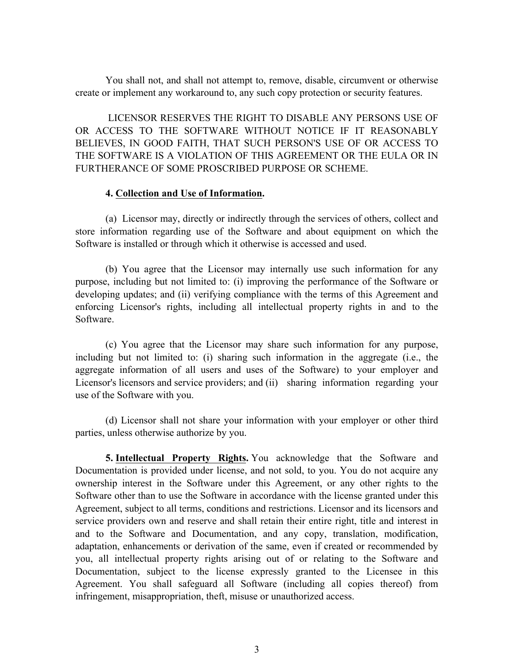You shall not, and shall not attempt to, remove, disable, circumvent or otherwise create or implement any workaround to, any such copy protection or security features.

LICENSOR RESERVES THE RIGHT TO DISABLE ANY PERSONS USE OF OR ACCESS TO THE SOFTWARE WITHOUT NOTICE IF IT REASONABLY BELIEVES, IN GOOD FAITH, THAT SUCH PERSON'S USE OF OR ACCESS TO THE SOFTWARE IS A VIOLATION OF THIS AGREEMENT OR THE EULA OR IN FURTHERANCE OF SOME PROSCRIBED PURPOSE OR SCHEME.

## **4. Collection and Use of Information.**

(a) Licensor may, directly or indirectly through the services of others, collect and store information regarding use of the Software and about equipment on which the Software is installed or through which it otherwise is accessed and used.

(b) You agree that the Licensor may internally use such information for any purpose, including but not limited to: (i) improving the performance of the Software or developing updates; and (ii) verifying compliance with the terms of this Agreement and enforcing Licensor's rights, including all intellectual property rights in and to the Software.

(c) You agree that the Licensor may share such information for any purpose, including but not limited to: (i) sharing such information in the aggregate (i.e., the aggregate information of all users and uses of the Software) to your employer and Licensor's licensors and service providers; and (ii) sharing information regarding your use of the Software with you.

(d) Licensor shall not share your information with your employer or other third parties, unless otherwise authorize by you.

**5. Intellectual Property Rights.** You acknowledge that the Software and Documentation is provided under license, and not sold, to you. You do not acquire any ownership interest in the Software under this Agreement, or any other rights to the Software other than to use the Software in accordance with the license granted under this Agreement, subject to all terms, conditions and restrictions. Licensor and its licensors and service providers own and reserve and shall retain their entire right, title and interest in and to the Software and Documentation, and any copy, translation, modification, adaptation, enhancements or derivation of the same, even if created or recommended by you, all intellectual property rights arising out of or relating to the Software and Documentation, subject to the license expressly granted to the Licensee in this Agreement. You shall safeguard all Software (including all copies thereof) from infringement, misappropriation, theft, misuse or unauthorized access.